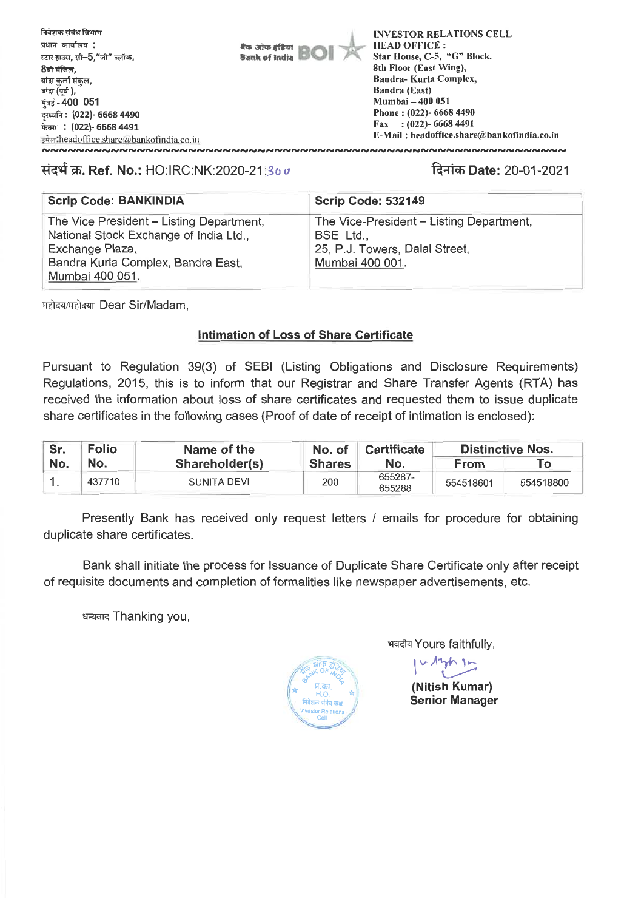

## **11-11-i. Ref. No.:** HO:IRC:NK:2020-21 :36 **W Date:** 20-01-2021

| <b>Scrip Code: BANKINDIA</b>                                                       | Scrip Code: 532149                                    |
|------------------------------------------------------------------------------------|-------------------------------------------------------|
| The Vice President - Listing Department,<br>National Stock Exchange of India Ltd., | The Vice-President - Listing Department,<br>BSE Ltd., |
| Exchange Plaza,<br>Bandra Kurla Complex, Bandra East,<br>Mumbai 400 051.           | 25, P.J. Towers, Dalal Street,<br>Mumbai 400 001.     |

महोदय/महोदया Dear Sir/Madam,

# **Intimation of Loss of Share Certificate**

Pursuant to Regulation 39(3) of SEBI (Listing Obligations and Disclosure Requirements) Regulations, 2015, this is to inform that our Registrar and Share Transfer Agents (RTA) has received the information about loss of share certificates and requested them to issue duplicate share certificates in the following cases (Proof of date of receipt of intimation is enclosed):

| Sr. | <b>Folio</b> | Name of the<br>Shareholder(s) | No. of        | <b>Certificate</b> | <b>Distinctive Nos.</b> |           |
|-----|--------------|-------------------------------|---------------|--------------------|-------------------------|-----------|
| No. | No.          |                               | <b>Shares</b> | No.                | From                    |           |
|     | 437710       | SUNITA DEVI                   | 200           | 655287-<br>655288  | 554518601               | 554518800 |

Presently Bank has received only request letters / emails for procedure for obtaining duplicate share certificates.

Bank shall initiate the process for Issuance of Duplicate Share Certificate only after receipt of requisite documents and completion of formalities like newspaper advertisements, etc.

धन्यवाद Thanking you,



भवदीय Yours faithfully,

u Azzh ja **(Nitish Kumar) Senior Manager**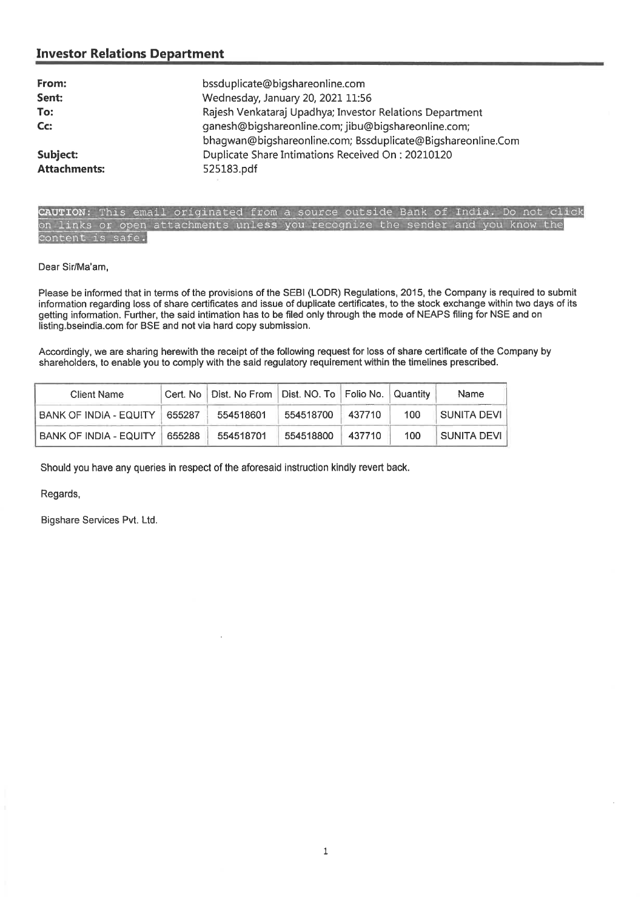# **Investor Relations Department**

| From:               | bssduplicate@bigshareonline.com                             |
|---------------------|-------------------------------------------------------------|
| Sent:               | Wednesday, January 20, 2021 11:56                           |
| To:                 | Rajesh Venkataraj Upadhya; Investor Relations Department    |
| Cc:                 | ganesh@bigshareonline.com; jibu@bigshareonline.com;         |
|                     | bhagwan@bigshareonline.com; Bssduplicate@Bigshareonline.Com |
| Subject:            | Duplicate Share Intimations Received On: 20210120           |
| <b>Attachments:</b> | 525183.pdf                                                  |
|                     |                                                             |

## **AUTION:** This email originated from a source outside Bank of India. Do not click on links or open attachments unless you recognize the sender and you know the content is safe.

### Dear Sir/Ma'am,

Please be informed that in terms of the provisions of the SEBI (LODR) Regulations, 2015, the Company is required to submit information regarding loss of share certificates and issue of duplicate certificates, to the stock exchange within two days of its getting information. Further, the said intimation has to be filed only through the mode of NEAPS filing for NSE and on listing.bseindia.com for BSE and not via hard copy submission.

Accordingly, we are sharing herewith the receipt of the following request for loss of share certificate of the Company by shareholders, to enable you to comply with the said regulatory requirement within the timelines prescribed.

| <b>Client Name</b>            |        | Cert. No   Dist. No From   Dist. NO. To   Folio No.   Quantity |           |        |     | Name        |
|-------------------------------|--------|----------------------------------------------------------------|-----------|--------|-----|-------------|
| I BANK OF INDIA - EQUITY      | 655287 | 554518601                                                      | 554518700 | 437710 | 100 | SUNITA DEVI |
| <b>BANK OF INDIA - EQUITY</b> | 655288 | 554518701                                                      | 554518800 | 437710 | 100 | SUNITA DEVI |

Should you have any queries in respect of the aforesaid instruction kindly revert back.

Regards,

Bigshare Services Pvt. Ltd.